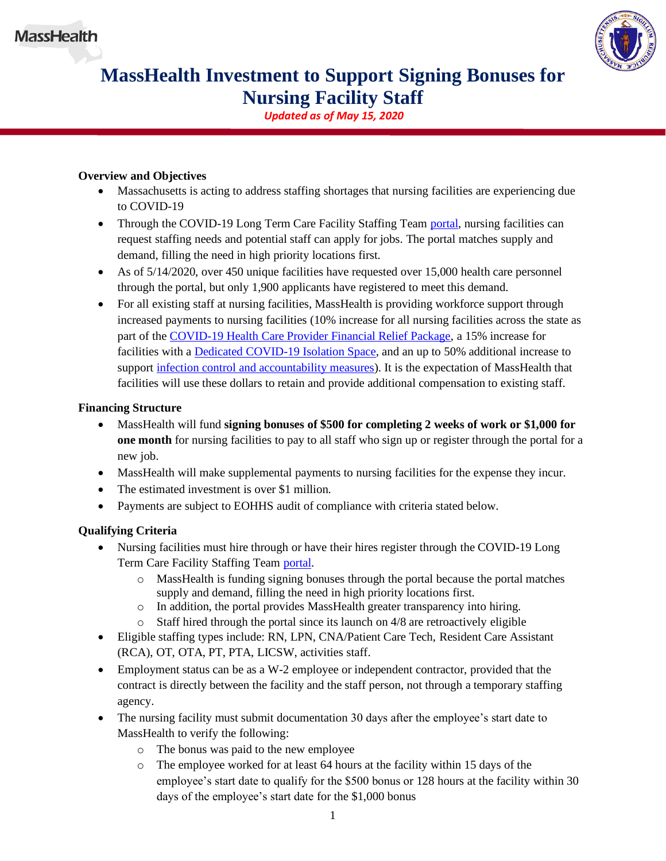

# **MassHealth Investment to Support Signing Bonuses for Nursing Facility Staff**

*Updated as of May 15, 2020*

## **Overview and Objectives**

- Massachusetts is acting to address staffing shortages that nursing facilities are experiencing due to COVID-19
- Through the COVID-19 Long Term Care Facility Staffing Team [portal,](https://covid19ltc.umassmed.edu/) nursing facilities can request staffing needs and potential staff can apply for jobs. The portal matches supply and demand, filling the need in high priority locations first.
- As of  $5/14/2020$ , over 450 unique facilities have requested over 15,000 health care personnel through the portal, but only 1,900 applicants have registered to meet this demand.
- For all existing staff at nursing facilities, MassHealth is providing workforce support through increased payments to nursing facilities (10% increase for all nursing facilities across the state as part of the [COVID-19 Health Care Provider Financial Relief Package,](https://www.mass.gov/doc/covid-19-health-care-provider-financial-relief-package/download) a 15% increase for facilities with a **Dedicated COVID-19 Isolation Space**, and an up to 50% additional increase to support [infection control and accountability measures\)](https://www.mass.gov/doc/covid-19-nursing-facility-accountability-and-support-0/download). It is the expectation of MassHealth that facilities will use these dollars to retain and provide additional compensation to existing staff.

### **Financing Structure**

- MassHealth will fund **signing bonuses of \$500 for completing 2 weeks of work or \$1,000 for one month** for nursing facilities to pay to all staff who sign up or register through the portal for a new job.
- MassHealth will make supplemental payments to nursing facilities for the expense they incur.
- The estimated investment is over \$1 million.
- Payments are subject to EOHHS audit of compliance with criteria stated below.

# **Qualifying Criteria**

- Nursing facilities must hire through or have their hires register through the COVID-19 Long Term Care Facility Staffing Team [portal.](https://covid19ltc.umassmed.edu/)
	- o MassHealth is funding signing bonuses through the portal because the portal matches supply and demand, filling the need in high priority locations first.
	- o In addition, the portal provides MassHealth greater transparency into hiring.
	- o Staff hired through the portal since its launch on 4/8 are retroactively eligible
- Eligible staffing types include: RN, LPN, CNA/Patient Care Tech, Resident Care Assistant (RCA), OT, OTA, PT, PTA, LICSW, activities staff.
- Employment status can be as a W-2 employee or independent contractor, provided that the contract is directly between the facility and the staff person, not through a temporary staffing agency.
- The nursing facility must submit documentation 30 days after the employee's start date to MassHealth to verify the following:
	- o The bonus was paid to the new employee
	- o The employee worked for at least 64 hours at the facility within 15 days of the employee's start date to qualify for the \$500 bonus or 128 hours at the facility within 30 days of the employee's start date for the \$1,000 bonus